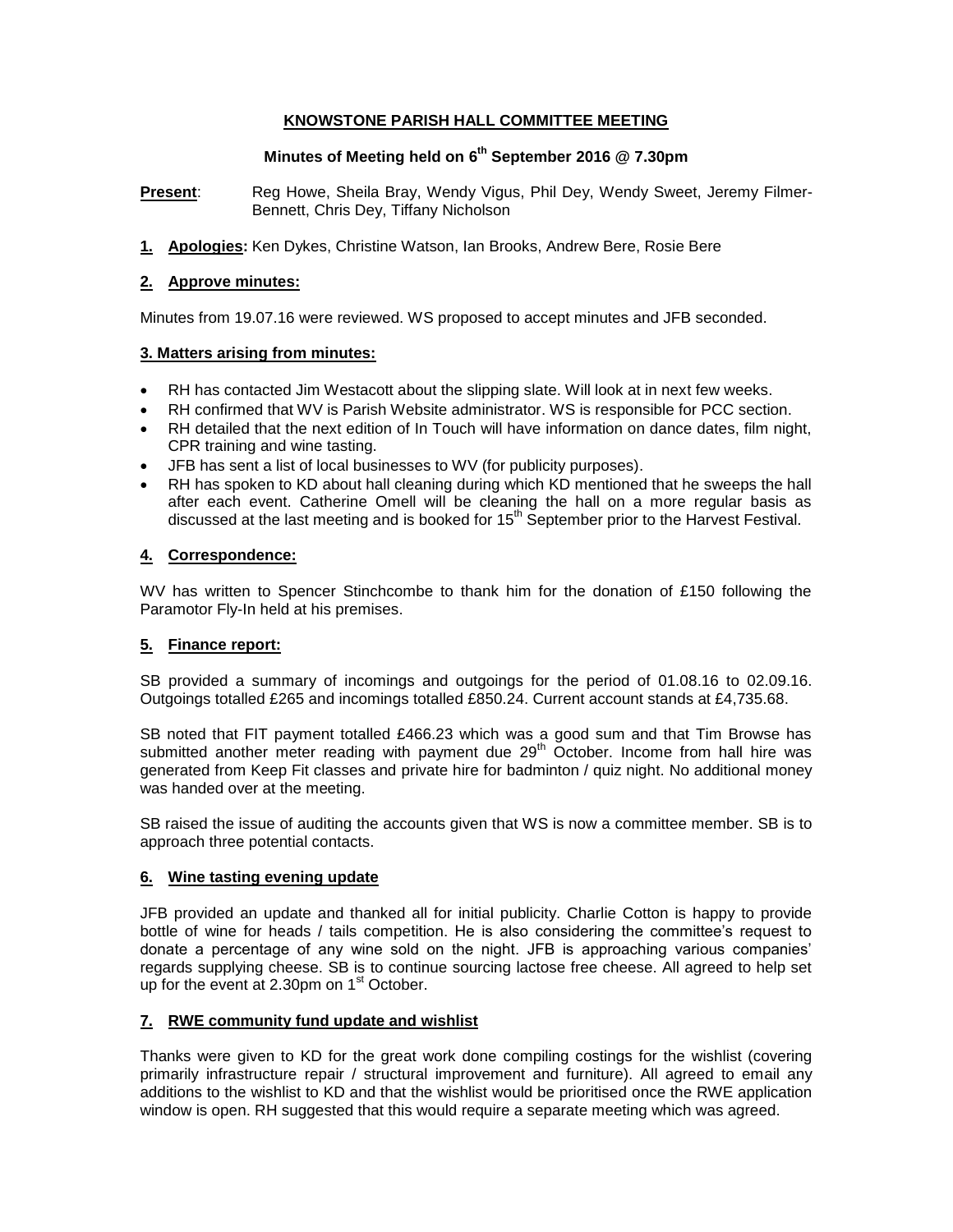## **KNOWSTONE PARISH HALL COMMITTEE MEETING**

# **Minutes of Meeting held on 6 th September 2016 @ 7.30pm**

**Present**: Reg Howe, Sheila Bray, Wendy Vigus, Phil Dey, Wendy Sweet, Jeremy Filmer-Bennett, Chris Dey, Tiffany Nicholson

**1. Apologies:** Ken Dykes, Christine Watson, Ian Brooks, Andrew Bere, Rosie Bere

### **2. Approve minutes:**

Minutes from 19.07.16 were reviewed. WS proposed to accept minutes and JFB seconded.

## **3. Matters arising from minutes:**

- RH has contacted Jim Westacott about the slipping slate. Will look at in next few weeks.
- RH confirmed that WV is Parish Website administrator. WS is responsible for PCC section.
- RH detailed that the next edition of In Touch will have information on dance dates, film night, CPR training and wine tasting.
- JFB has sent a list of local businesses to WV (for publicity purposes).
- RH has spoken to KD about hall cleaning during which KD mentioned that he sweeps the hall after each event. Catherine Omell will be cleaning the hall on a more regular basis as discussed at the last meeting and is booked for  $15<sup>th</sup>$  September prior to the Harvest Festival.

## **4. Correspondence:**

WV has written to Spencer Stinchcombe to thank him for the donation of £150 following the Paramotor Fly-In held at his premises.

## **5. Finance report:**

SB provided a summary of incomings and outgoings for the period of 01.08.16 to 02.09.16. Outgoings totalled £265 and incomings totalled £850.24. Current account stands at £4,735.68.

SB noted that FIT payment totalled £466.23 which was a good sum and that Tim Browse has submitted another meter reading with payment due  $29<sup>th</sup>$  October. Income from hall hire was generated from Keep Fit classes and private hire for badminton / quiz night. No additional money was handed over at the meeting.

SB raised the issue of auditing the accounts given that WS is now a committee member. SB is to approach three potential contacts.

### **6. Wine tasting evening update**

JFB provided an update and thanked all for initial publicity. Charlie Cotton is happy to provide bottle of wine for heads / tails competition. He is also considering the committee's request to donate a percentage of any wine sold on the night. JFB is approaching various companies' regards supplying cheese. SB is to continue sourcing lactose free cheese. All agreed to help set up for the event at 2.30pm on  $1<sup>st</sup>$  October.

### **7. RWE community fund update and wishlist**

Thanks were given to KD for the great work done compiling costings for the wishlist (covering primarily infrastructure repair / structural improvement and furniture). All agreed to email any additions to the wishlist to KD and that the wishlist would be prioritised once the RWE application window is open. RH suggested that this would require a separate meeting which was agreed.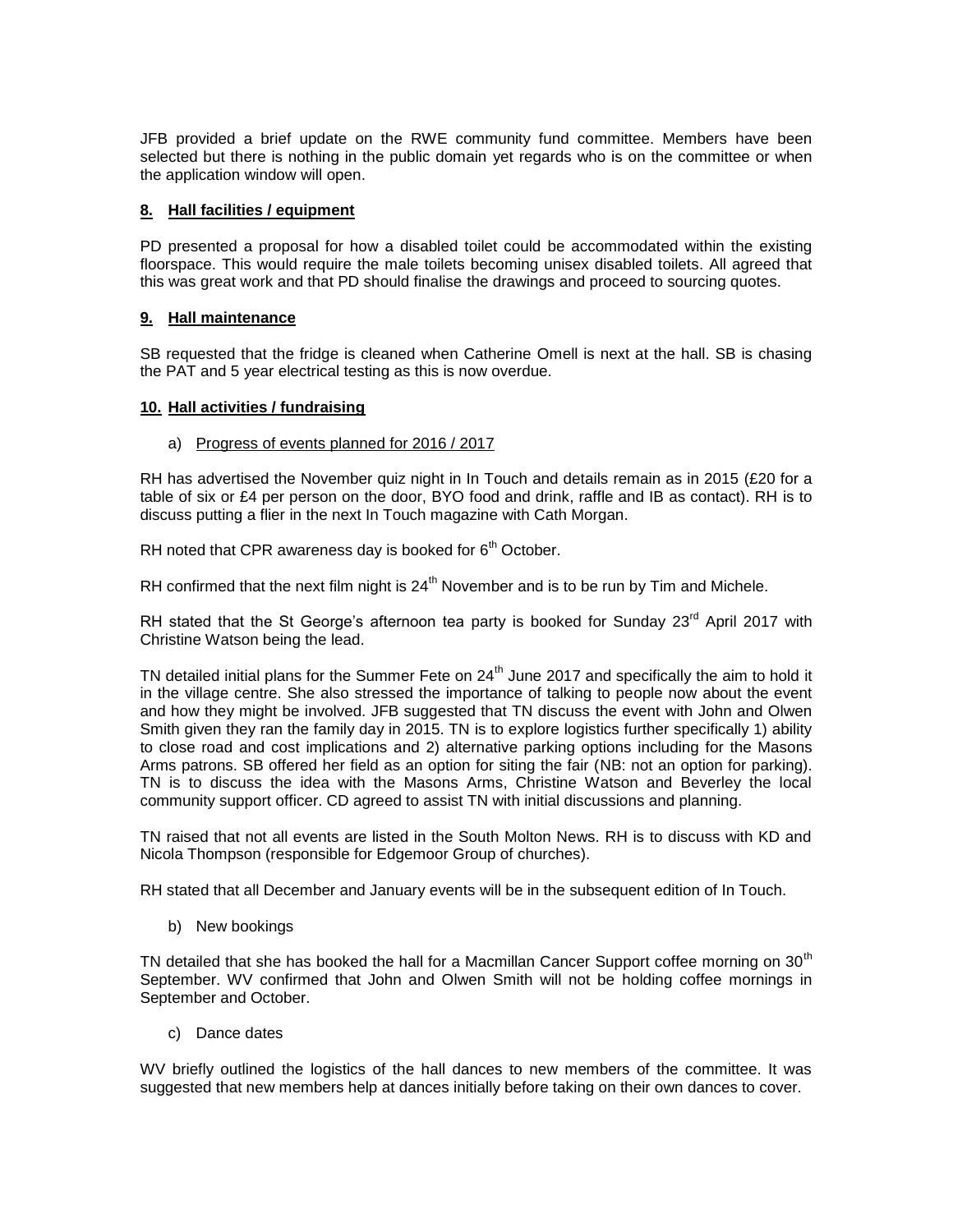JFB provided a brief update on the RWE community fund committee. Members have been selected but there is nothing in the public domain yet regards who is on the committee or when the application window will open.

## **8. Hall facilities / equipment**

PD presented a proposal for how a disabled toilet could be accommodated within the existing floorspace. This would require the male toilets becoming unisex disabled toilets. All agreed that this was great work and that PD should finalise the drawings and proceed to sourcing quotes.

## **9. Hall maintenance**

SB requested that the fridge is cleaned when Catherine Omell is next at the hall. SB is chasing the PAT and 5 year electrical testing as this is now overdue.

### **10. Hall activities / fundraising**

### a) Progress of events planned for 2016 / 2017

RH has advertised the November quiz night in In Touch and details remain as in 2015 (£20 for a table of six or £4 per person on the door, BYO food and drink, raffle and IB as contact). RH is to discuss putting a flier in the next In Touch magazine with Cath Morgan.

RH noted that CPR awareness day is booked for  $6<sup>th</sup>$  October.

RH confirmed that the next film night is  $24<sup>th</sup>$  November and is to be run by Tim and Michele.

RH stated that the St George's afternoon tea party is booked for Sunday 23<sup>rd</sup> April 2017 with Christine Watson being the lead.

TN detailed initial plans for the Summer Fete on 24<sup>th</sup> June 2017 and specifically the aim to hold it in the village centre. She also stressed the importance of talking to people now about the event and how they might be involved. JFB suggested that TN discuss the event with John and Olwen Smith given they ran the family day in 2015. TN is to explore logistics further specifically 1) ability to close road and cost implications and 2) alternative parking options including for the Masons Arms patrons. SB offered her field as an option for siting the fair (NB: not an option for parking). TN is to discuss the idea with the Masons Arms, Christine Watson and Beverley the local community support officer. CD agreed to assist TN with initial discussions and planning.

TN raised that not all events are listed in the South Molton News. RH is to discuss with KD and Nicola Thompson (responsible for Edgemoor Group of churches).

RH stated that all December and January events will be in the subsequent edition of In Touch.

b) New bookings

TN detailed that she has booked the hall for a Macmillan Cancer Support coffee morning on  $30<sup>th</sup>$ September. WV confirmed that John and Olwen Smith will not be holding coffee mornings in September and October.

c) Dance dates

WV briefly outlined the logistics of the hall dances to new members of the committee. It was suggested that new members help at dances initially before taking on their own dances to cover.